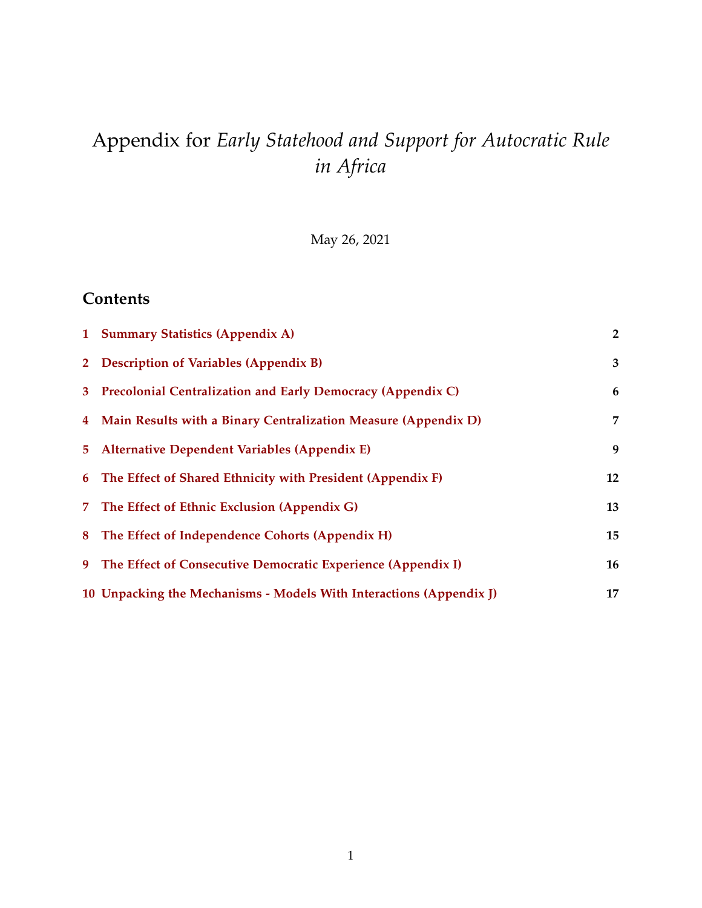# Appendix for *Early Statehood and Support for Autocratic Rule in Africa*

May 26, 2021

### **Contents**

| 1 Summary Statistics (Appendix A)                                   | $\overline{2}$ |
|---------------------------------------------------------------------|----------------|
| 2 Description of Variables (Appendix B)                             | 3              |
| 3 Precolonial Centralization and Early Democracy (Appendix C)       | 6              |
| 4 Main Results with a Binary Centralization Measure (Appendix D)    | $\overline{7}$ |
| 5 Alternative Dependent Variables (Appendix E)                      | 9              |
| 6 The Effect of Shared Ethnicity with President (Appendix F)        | 12             |
| 7 The Effect of Ethnic Exclusion (Appendix G)                       | 13             |
| 8 The Effect of Independence Cohorts (Appendix H)                   | 15             |
| 9 The Effect of Consecutive Democratic Experience (Appendix I)      | 16             |
| 10 Unpacking the Mechanisms - Models With Interactions (Appendix I) | 17             |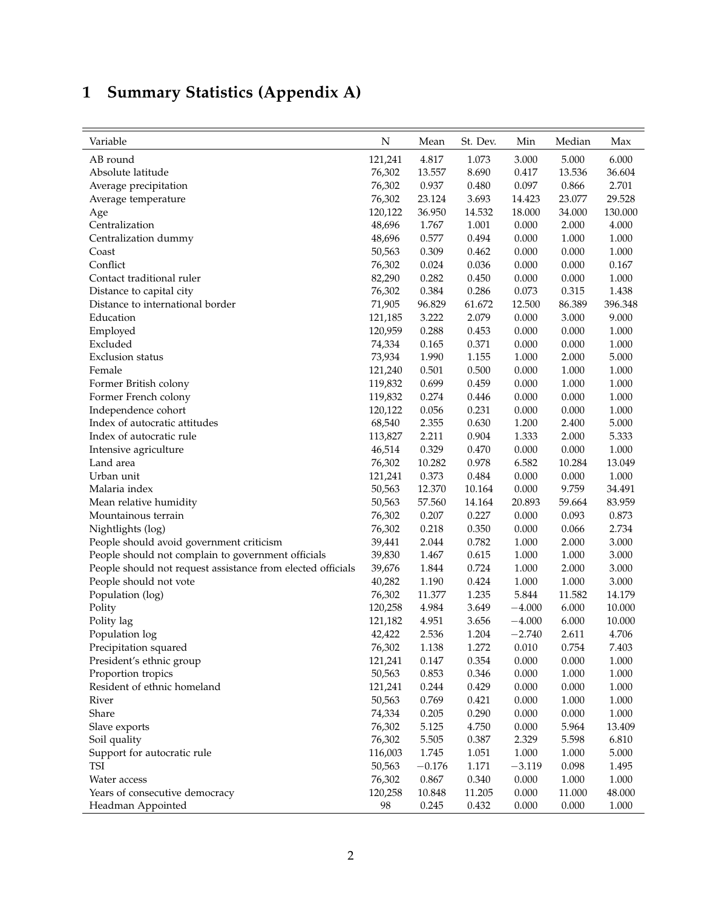## <span id="page-1-0"></span>**1 Summary Statistics (Appendix A)**

| Variable                                                    | N       | Mean     | St. Dev. | Min      | Median | Max       |
|-------------------------------------------------------------|---------|----------|----------|----------|--------|-----------|
| AB round                                                    | 121,241 | 4.817    | 1.073    | 3.000    | 5.000  | 6.000     |
| Absolute latitude                                           | 76,302  | 13.557   | 8.690    | 0.417    | 13.536 | 36.604    |
| Average precipitation                                       | 76,302  | 0.937    | 0.480    | 0.097    | 0.866  | 2.701     |
| Average temperature                                         | 76,302  | 23.124   | 3.693    | 14.423   | 23.077 | 29.528    |
| Age                                                         | 120,122 | 36.950   | 14.532   | 18.000   | 34.000 | 130.000   |
| Centralization                                              | 48,696  | 1.767    | 1.001    | 0.000    | 2.000  | 4.000     |
| Centralization dummy                                        | 48,696  | 0.577    | 0.494    | 0.000    | 1.000  | 1.000     |
| Coast                                                       | 50,563  | 0.309    | 0.462    | 0.000    | 0.000  | 1.000     |
| Conflict                                                    | 76,302  | 0.024    | 0.036    | 0.000    | 0.000  | 0.167     |
| Contact traditional ruler                                   | 82,290  | 0.282    | 0.450    | 0.000    | 0.000  | 1.000     |
| Distance to capital city                                    | 76,302  | 0.384    | 0.286    | 0.073    | 0.315  | 1.438     |
| Distance to international border                            | 71,905  | 96.829   | 61.672   | 12.500   | 86.389 | 396.348   |
| Education                                                   | 121,185 | 3.222    | 2.079    | 0.000    | 3.000  | 9.000     |
| Employed                                                    | 120,959 | 0.288    | 0.453    | 0.000    | 0.000  | 1.000     |
| Excluded                                                    | 74,334  | 0.165    | 0.371    | 0.000    | 0.000  | 1.000     |
| <b>Exclusion</b> status                                     | 73,934  | 1.990    | 1.155    | 1.000    | 2.000  | 5.000     |
| Female                                                      | 121,240 | 0.501    | 0.500    | 0.000    | 1.000  | 1.000     |
| Former British colony                                       | 119,832 | 0.699    | 0.459    | 0.000    | 1.000  | 1.000     |
| Former French colony                                        | 119,832 | 0.274    | 0.446    | 0.000    | 0.000  | 1.000     |
| Independence cohort                                         | 120,122 | 0.056    | 0.231    | 0.000    | 0.000  | 1.000     |
| Index of autocratic attitudes                               | 68,540  | 2.355    | 0.630    | 1.200    | 2.400  | 5.000     |
| Index of autocratic rule                                    | 113,827 | 2.211    | 0.904    | 1.333    | 2.000  | 5.333     |
| Intensive agriculture                                       | 46,514  | 0.329    | 0.470    | 0.000    | 0.000  | 1.000     |
| Land area                                                   | 76,302  | 10.282   | 0.978    | 6.582    | 10.284 | 13.049    |
| Urban unit                                                  | 121,241 | 0.373    | 0.484    | 0.000    | 0.000  | 1.000     |
| Malaria index                                               | 50,563  | 12.370   | 10.164   | 0.000    | 9.759  | 34.491    |
| Mean relative humidity                                      | 50,563  | 57.560   | 14.164   | 20.893   | 59.664 | 83.959    |
| Mountainous terrain                                         | 76,302  | 0.207    | 0.227    | 0.000    | 0.093  | 0.873     |
| Nightlights (log)                                           | 76,302  | 0.218    | 0.350    | 0.000    | 0.066  | 2.734     |
| People should avoid government criticism                    | 39,441  | 2.044    | 0.782    | 1.000    | 2.000  | 3.000     |
| People should not complain to government officials          | 39,830  | 1.467    | 0.615    | 1.000    | 1.000  | 3.000     |
| People should not request assistance from elected officials | 39,676  | 1.844    | 0.724    | 1.000    | 2.000  | 3.000     |
| People should not vote                                      | 40,282  | 1.190    | 0.424    | 1.000    | 1.000  | 3.000     |
| Population (log)                                            | 76,302  | 11.377   | 1.235    | 5.844    | 11.582 | 14.179    |
| Polity                                                      | 120,258 | 4.984    | 3.649    | $-4.000$ | 6.000  | 10.000    |
| Polity lag                                                  | 121,182 | 4.951    | 3.656    | $-4.000$ | 6.000  | 10.000    |
| Population log                                              | 42,422  | 2.536    | 1.204    | $-2.740$ | 2.611  | 4.706     |
| Precipitation squared                                       | 76,302  | 1.138    | 1.272    | 0.010    | 0.754  | 7.403     |
| President's ethnic group                                    | 121,241 | 0.147    | 0.354    | 0.000    | 0.000  | 1.000     |
| Proportion tropics                                          | 50,563  | 0.853    | 0.346    | 0.000    | 1.000  | $1.000\,$ |
| Resident of ethnic homeland                                 | 121,241 | 0.244    | 0.429    | 0.000    | 0.000  | $1.000\,$ |
| River                                                       | 50,563  | 0.769    | 0.421    | 0.000    | 1.000  | 1.000     |
| Share                                                       | 74,334  | 0.205    | 0.290    | 0.000    | 0.000  | 1.000     |
| Slave exports                                               | 76,302  | 5.125    | 4.750    | 0.000    | 5.964  | 13.409    |
| Soil quality                                                | 76,302  | 5.505    | 0.387    | 2.329    | 5.598  | 6.810     |
| Support for autocratic rule                                 | 116,003 | 1.745    | 1.051    | 1.000    | 1.000  | 5.000     |
| TSI                                                         | 50,563  | $-0.176$ | 1.171    | $-3.119$ | 0.098  | 1.495     |
| Water access                                                | 76,302  | 0.867    | 0.340    | 0.000    | 1.000  | $1.000\,$ |
| Years of consecutive democracy                              | 120,258 | 10.848   | 11.205   | 0.000    | 11.000 | 48.000    |
| Headman Appointed                                           | 98      | 0.245    | 0.432    | 0.000    | 0.000  | 1.000     |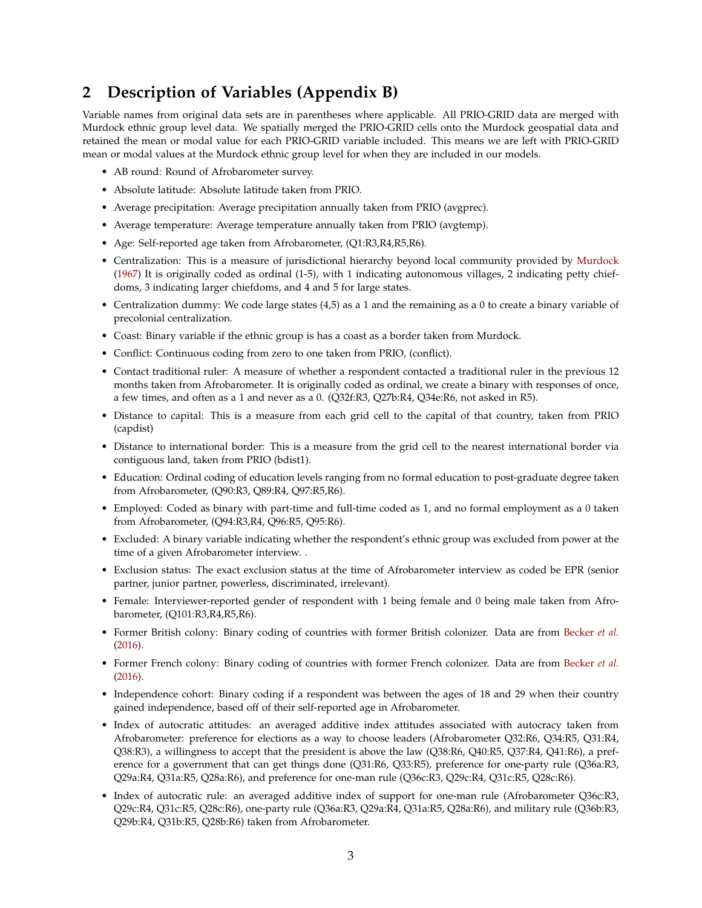#### <span id="page-2-0"></span>**2 Description of Variables (Appendix B)**

Variable names from original data sets are in parentheses where applicable. All PRIO-GRID data are merged with Murdock ethnic group level data. We spatially merged the PRIO-GRID cells onto the Murdock geospatial data and retained the mean or modal value for each PRIO-GRID variable included. This means we are left with PRIO-GRID mean or modal values at the Murdock ethnic group level for when they are included in our models.

- AB round: Round of Afrobarometer survey.
- Absolute latitude: Absolute latitude taken from PRIO.
- Average precipitation: Average precipitation annually taken from PRIO (avgprec).
- Average temperature: Average temperature annually taken from PRIO (avgtemp).
- Age: Self-reported age taken from Afrobarometer, (Q1:R3,R4,R5,R6).
- Centralization: This is a measure of jurisdictional hierarchy beyond local community provided by [Murdock](#page-17-0) [\(1967\)](#page-17-0) It is originally coded as ordinal (1-5), with 1 indicating autonomous villages, 2 indicating petty chiefdoms, 3 indicating larger chiefdoms, and 4 and 5 for large states.
- Centralization dummy: We code large states (4,5) as a 1 and the remaining as a 0 to create a binary variable of precolonial centralization.
- Coast: Binary variable if the ethnic group is has a coast as a border taken from Murdock.
- Conflict: Continuous coding from zero to one taken from PRIO, (conflict).
- Contact traditional ruler: A measure of whether a respondent contacted a traditional ruler in the previous 12 months taken from Afrobarometer. It is originally coded as ordinal, we create a binary with responses of once, a few times, and often as a 1 and never as a 0. (Q32f:R3, Q27b:R4, Q34e:R6, not asked in R5).
- Distance to capital: This is a measure from each grid cell to the capital of that country, taken from PRIO (capdist)
- Distance to international border: This is a measure from the grid cell to the nearest international border via contiguous land, taken from PRIO (bdist1).
- Education: Ordinal coding of education levels ranging from no formal education to post-graduate degree taken from Afrobarometer, (Q90:R3, Q89:R4, Q97:R5,R6).
- Employed: Coded as binary with part-time and full-time coded as 1, and no formal employment as a 0 taken from Afrobarometer, (Q94:R3,R4, Q96:R5, Q95:R6).
- Excluded: A binary variable indicating whether the respondent's ethnic group was excluded from power at the time of a given Afrobarometer interview. .
- Exclusion status: The exact exclusion status at the time of Afrobarometer interview as coded be EPR (senior partner, junior partner, powerless, discriminated, irrelevant).
- Female: Interviewer-reported gender of respondent with 1 being female and 0 being male taken from Afrobarometer, (Q101:R3,R4,R5,R6).
- Former British colony: Binary coding of countries with former British colonizer. Data are from [Becker](#page-17-1) *et al.* [\(2016\)](#page-17-1).
- Former French colony: Binary coding of countries with former French colonizer. Data are from [Becker](#page-17-1) *et al.* [\(2016\)](#page-17-1).
- Independence cohort: Binary coding if a respondent was between the ages of 18 and 29 when their country gained independence, based off of their self-reported age in Afrobarometer.
- Index of autocratic attitudes: an averaged additive index attitudes associated with autocracy taken from Afrobarometer: preference for elections as a way to choose leaders (Afrobarometer Q32:R6, Q34:R5, Q31:R4, Q38:R3), a willingness to accept that the president is above the law (Q38:R6, Q40:R5, Q37:R4, Q41:R6), a preference for a government that can get things done (Q31:R6, Q33:R5), preference for one-party rule (Q36a:R3, Q29a:R4, Q31a:R5, Q28a:R6), and preference for one-man rule (Q36c:R3, Q29c:R4, Q31c:R5, Q28c:R6).
- Index of autocratic rule: an averaged additive index of support for one-man rule (Afrobarometer Q36c:R3, Q29c:R4, Q31c:R5, Q28c:R6), one-party rule (Q36a:R3, Q29a:R4, Q31a:R5, Q28a:R6), and military rule (Q36b:R3, Q29b:R4, Q31b:R5, Q28b:R6) taken from Afrobarometer.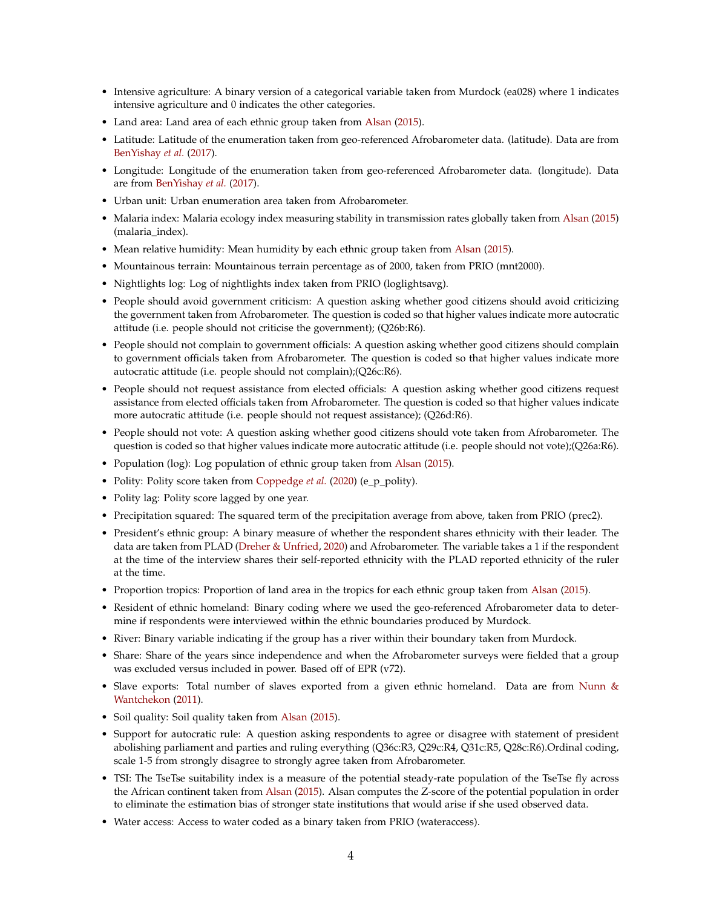- Intensive agriculture: A binary version of a categorical variable taken from Murdock (ea028) where 1 indicates intensive agriculture and 0 indicates the other categories.
- Land area: Land area of each ethnic group taken from [Alsan](#page-17-2) [\(2015\)](#page-17-2).
- Latitude: Latitude of the enumeration taken from geo-referenced Afrobarometer data. (latitude). Data are from [BenYishay](#page-17-3) *et al.* [\(2017\)](#page-17-3).
- Longitude: Longitude of the enumeration taken from geo-referenced Afrobarometer data. (longitude). Data are from [BenYishay](#page-17-3) *et al.* [\(2017\)](#page-17-3).
- Urban unit: Urban enumeration area taken from Afrobarometer.
- Malaria index: Malaria ecology index measuring stability in transmission rates globally taken from [Alsan](#page-17-2) [\(2015\)](#page-17-2) (malaria\_index).
- Mean relative humidity: Mean humidity by each ethnic group taken from [Alsan](#page-17-2) [\(2015\)](#page-17-2).
- Mountainous terrain: Mountainous terrain percentage as of 2000, taken from PRIO (mnt2000).
- Nightlights log: Log of nightlights index taken from PRIO (loglightsavg).
- People should avoid government criticism: A question asking whether good citizens should avoid criticizing the government taken from Afrobarometer. The question is coded so that higher values indicate more autocratic attitude (i.e. people should not criticise the government); (Q26b:R6).
- People should not complain to government officials: A question asking whether good citizens should complain to government officials taken from Afrobarometer. The question is coded so that higher values indicate more autocratic attitude (i.e. people should not complain);(Q26c:R6).
- People should not request assistance from elected officials: A question asking whether good citizens request assistance from elected officials taken from Afrobarometer. The question is coded so that higher values indicate more autocratic attitude (i.e. people should not request assistance); (Q26d:R6).
- People should not vote: A question asking whether good citizens should vote taken from Afrobarometer. The question is coded so that higher values indicate more autocratic attitude (i.e. people should not vote);(Q26a:R6).
- Population (log): Log population of ethnic group taken from [Alsan](#page-17-2) [\(2015\)](#page-17-2).
- Polity: Polity score taken from [Coppedge](#page-17-4) *et al.* [\(2020\)](#page-17-4) (e\_p\_polity).
- Polity lag: Polity score lagged by one year.
- Precipitation squared: The squared term of the precipitation average from above, taken from PRIO (prec2).
- President's ethnic group: A binary measure of whether the respondent shares ethnicity with their leader. The data are taken from PLAD [\(Dreher & Unfried,](#page-17-5) [2020\)](#page-17-5) and Afrobarometer. The variable takes a 1 if the respondent at the time of the interview shares their self-reported ethnicity with the PLAD reported ethnicity of the ruler at the time.
- Proportion tropics: Proportion of land area in the tropics for each ethnic group taken from [Alsan](#page-17-2) [\(2015\)](#page-17-2).
- Resident of ethnic homeland: Binary coding where we used the geo-referenced Afrobarometer data to determine if respondents were interviewed within the ethnic boundaries produced by Murdock.
- River: Binary variable indicating if the group has a river within their boundary taken from Murdock.
- Share: Share of the years since independence and when the Afrobarometer surveys were fielded that a group was excluded versus included in power. Based off of EPR (v72).
- Slave exports: Total number of slaves exported from a given ethnic homeland. Data are from [Nunn &](#page-17-6) [Wantchekon](#page-17-6) [\(2011\)](#page-17-6).
- Soil quality: Soil quality taken from [Alsan](#page-17-2) [\(2015\)](#page-17-2).
- Support for autocratic rule: A question asking respondents to agree or disagree with statement of president abolishing parliament and parties and ruling everything (Q36c:R3, Q29c:R4, Q31c:R5, Q28c:R6).Ordinal coding, scale 1-5 from strongly disagree to strongly agree taken from Afrobarometer.
- TSI: The TseTse suitability index is a measure of the potential steady-rate population of the TseTse fly across the African continent taken from [Alsan](#page-17-2) [\(2015\)](#page-17-2). Alsan computes the Z-score of the potential population in order to eliminate the estimation bias of stronger state institutions that would arise if she used observed data.
- Water access: Access to water coded as a binary taken from PRIO (wateraccess).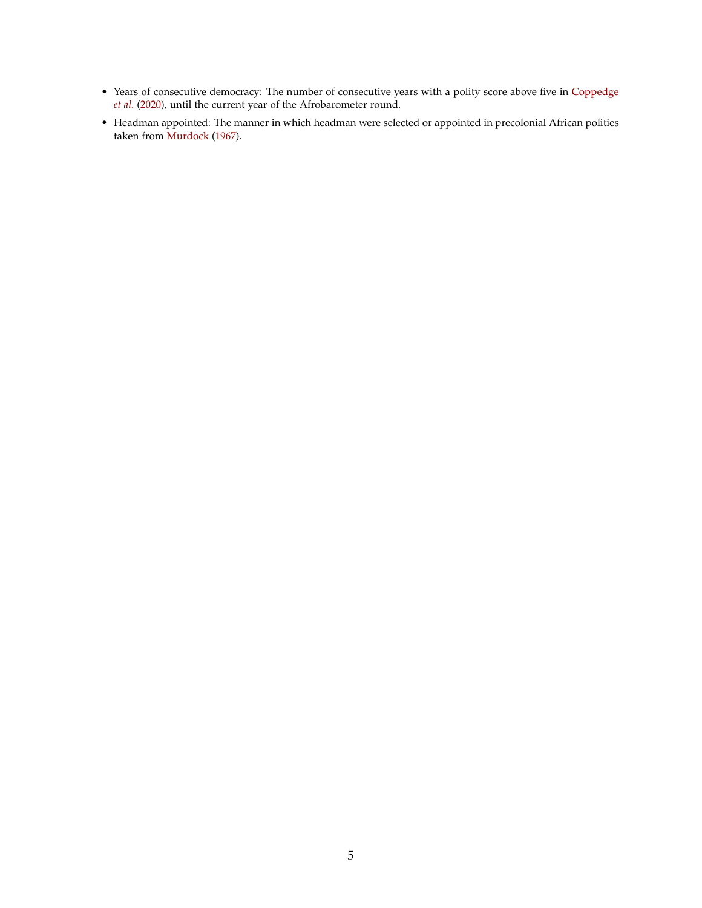- Years of consecutive democracy: The number of consecutive years with a polity score above five in [Coppedge](#page-17-4) *[et al.](#page-17-4)* [\(2020\)](#page-17-4), until the current year of the Afrobarometer round.
- Headman appointed: The manner in which headman were selected or appointed in precolonial African polities taken from [Murdock](#page-17-0) [\(1967\)](#page-17-0).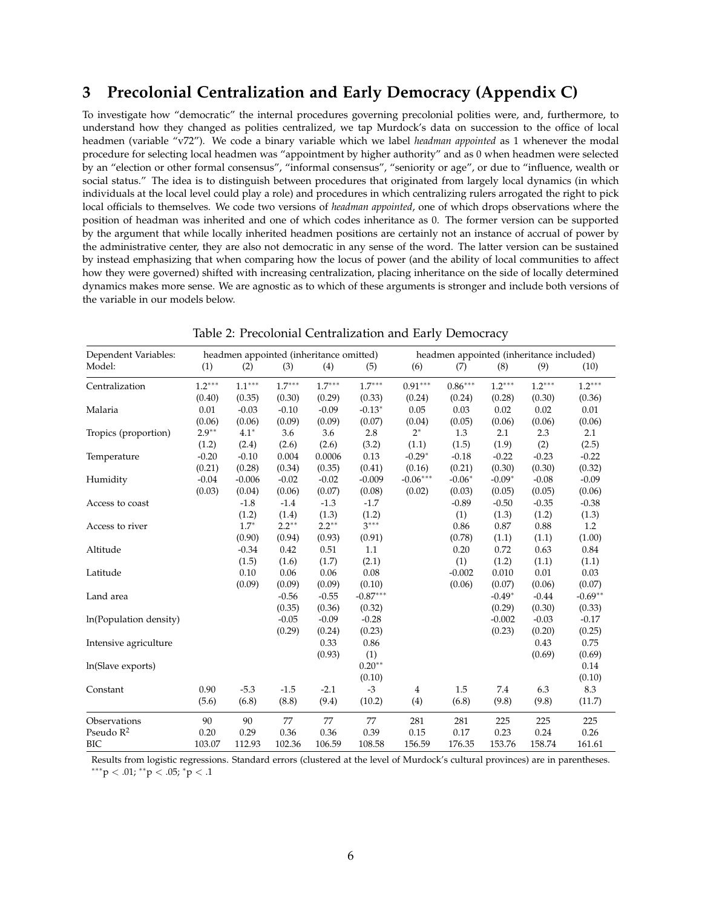#### <span id="page-5-0"></span>**3 Precolonial Centralization and Early Democracy (Appendix C)**

To investigate how "democratic" the internal procedures governing precolonial polities were, and, furthermore, to understand how they changed as polities centralized, we tap Murdock's data on succession to the office of local headmen (variable "v72"). We code a binary variable which we label *headman appointed* as 1 whenever the modal procedure for selecting local headmen was "appointment by higher authority" and as 0 when headmen were selected by an "election or other formal consensus", "informal consensus", "seniority or age", or due to "influence, wealth or social status." The idea is to distinguish between procedures that originated from largely local dynamics (in which individuals at the local level could play a role) and procedures in which centralizing rulers arrogated the right to pick local officials to themselves. We code two versions of *headman appointed*, one of which drops observations where the position of headman was inherited and one of which codes inheritance as 0. The former version can be supported by the argument that while locally inherited headmen positions are certainly not an instance of accrual of power by the administrative center, they are also not democratic in any sense of the word. The latter version can be sustained by instead emphasizing that when comparing how the locus of power (and the ability of local communities to affect how they were governed) shifted with increasing centralization, placing inheritance on the side of locally determined dynamics makes more sense. We are agnostic as to which of these arguments is stronger and include both versions of the variable in our models below.

| Dependent Variables:   |          |          | headmen appointed (inheritance omitted) |          |            |            | headmen appointed (inheritance included) |          |          |           |  |
|------------------------|----------|----------|-----------------------------------------|----------|------------|------------|------------------------------------------|----------|----------|-----------|--|
| Model:                 | (1)      | (2)      | (3)                                     | (4)      | (5)        | (6)        | (7)                                      | (8)      | (9)      | (10)      |  |
| Centralization         | $1.2***$ | $1.1***$ | $1.7***$                                | $1.7***$ | $1.7***$   | $0.91***$  | $0.86***$                                | $1.2***$ | $1.2***$ | $1.2***$  |  |
|                        | (0.40)   | (0.35)   | (0.30)                                  | (0.29)   | (0.33)     | (0.24)     | (0.24)                                   | (0.28)   | (0.30)   | (0.36)    |  |
| Malaria                | 0.01     | $-0.03$  | $-0.10$                                 | $-0.09$  | $-0.13*$   | 0.05       | 0.03                                     | 0.02     | 0.02     | 0.01      |  |
|                        | (0.06)   | (0.06)   | (0.09)                                  | (0.09)   | (0.07)     | (0.04)     | (0.05)                                   | (0.06)   | (0.06)   | (0.06)    |  |
| Tropics (proportion)   | $2.9**$  | $4.1*$   | 3.6                                     | 3.6      | 2.8        | $2^*$      | 1.3                                      | 2.1      | 2.3      | 2.1       |  |
|                        | (1.2)    | (2.4)    | (2.6)                                   | (2.6)    | (3.2)      | (1.1)      | (1.5)                                    | (1.9)    | (2)      | (2.5)     |  |
| Temperature            | $-0.20$  | $-0.10$  | 0.004                                   | 0.0006   | 0.13       | $-0.29*$   | $-0.18$                                  | $-0.22$  | $-0.23$  | $-0.22$   |  |
|                        | (0.21)   | (0.28)   | (0.34)                                  | (0.35)   | (0.41)     | (0.16)     | (0.21)                                   | (0.30)   | (0.30)   | (0.32)    |  |
| Humidity               | $-0.04$  | $-0.006$ | $-0.02$                                 | $-0.02$  | $-0.009$   | $-0.06***$ | $-0.06*$                                 | $-0.09*$ | $-0.08$  | $-0.09$   |  |
|                        | (0.03)   | (0.04)   | (0.06)                                  | (0.07)   | (0.08)     | (0.02)     | (0.03)                                   | (0.05)   | (0.05)   | (0.06)    |  |
| Access to coast        |          | $-1.8$   | $-1.4$                                  | $-1.3$   | $-1.7$     |            | $-0.89$                                  | $-0.50$  | $-0.35$  | $-0.38$   |  |
|                        |          | (1.2)    | (1.4)                                   | (1.3)    | (1.2)      |            | (1)                                      | (1.3)    | (1.2)    | (1.3)     |  |
| Access to river        |          | $1.7*$   | $2.2***$                                | $2.2***$ | $3***$     |            | 0.86                                     | 0.87     | 0.88     | 1.2       |  |
|                        |          | (0.90)   | (0.94)                                  | (0.93)   | (0.91)     |            | (0.78)                                   | (1.1)    | (1.1)    | (1.00)    |  |
| Altitude               |          | $-0.34$  | 0.42                                    | 0.51     | 1.1        |            | 0.20                                     | 0.72     | 0.63     | 0.84      |  |
|                        |          | (1.5)    | (1.6)                                   | (1.7)    | (2.1)      |            | (1)                                      | (1.2)    | (1.1)    | (1.1)     |  |
| Latitude               |          | 0.10     | 0.06                                    | 0.06     | $0.08\,$   |            | $-0.002$                                 | 0.010    | 0.01     | 0.03      |  |
|                        |          | (0.09)   | (0.09)                                  | (0.09)   | (0.10)     |            | (0.06)                                   | (0.07)   | (0.06)   | (0.07)    |  |
| Land area              |          |          | $-0.56$                                 | $-0.55$  | $-0.87***$ |            |                                          | $-0.49*$ | $-0.44$  | $-0.69**$ |  |
|                        |          |          | (0.35)                                  | (0.36)   | (0.32)     |            |                                          | (0.29)   | (0.30)   | (0.33)    |  |
| ln(Population density) |          |          | $-0.05$                                 | $-0.09$  | $-0.28$    |            |                                          | $-0.002$ | $-0.03$  | $-0.17$   |  |
|                        |          |          | (0.29)                                  | (0.24)   | (0.23)     |            |                                          | (0.23)   | (0.20)   | (0.25)    |  |
| Intensive agriculture  |          |          |                                         | 0.33     | 0.86       |            |                                          |          | 0.43     | 0.75      |  |
|                        |          |          |                                         | (0.93)   | (1)        |            |                                          |          | (0.69)   | (0.69)    |  |
| ln(Slave exports)      |          |          |                                         |          | $0.20**$   |            |                                          |          |          | 0.14      |  |
|                        |          |          |                                         |          | (0.10)     |            |                                          |          |          | (0.10)    |  |
| Constant               | 0.90     | $-5.3$   | $-1.5$                                  | $-2.1$   | $-3$       | 4          | 1.5                                      | 7.4      | 6.3      | 8.3       |  |
|                        | (5.6)    | (6.8)    | (8.8)                                   | (9.4)    | (10.2)     | (4)        | (6.8)                                    | (9.8)    | (9.8)    | (11.7)    |  |
| Observations           | 90       | 90       | 77                                      | 77       | 77         | 281        | 281                                      | 225      | 225      | 225       |  |
| Pseudo $R^2$           | 0.20     | 0.29     | 0.36                                    | 0.36     | 0.39       | 0.15       | 0.17                                     | 0.23     | 0.24     | 0.26      |  |
| <b>BIC</b>             | 103.07   | 112.93   | 102.36                                  | 106.59   | 108.58     | 156.59     | 176.35                                   | 153.76   | 158.74   | 161.61    |  |

Table 2: Precolonial Centralization and Early Democracy

Results from logistic regressions. Standard errors (clustered at the level of Murdock's cultural provinces) are in parentheses. ∗∗∗p < .01; ∗∗p < .05; <sup>∗</sup>p < .1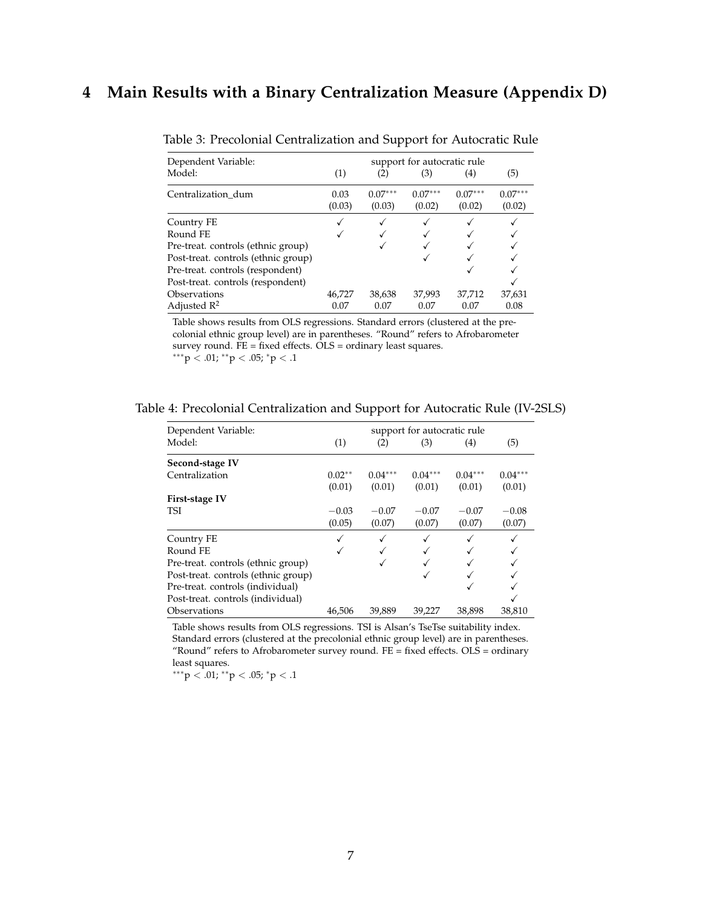#### <span id="page-6-0"></span>**4 Main Results with a Binary Centralization Measure (Appendix D)**

| Dependent Variable:                 | support for autocratic rule |                     |                     |                     |                     |  |  |  |
|-------------------------------------|-----------------------------|---------------------|---------------------|---------------------|---------------------|--|--|--|
| Model:                              | (1)                         | (2)                 | (3)                 | (4)                 | (5)                 |  |  |  |
| Centralization dum                  | 0.03<br>(0.03)              | $0.07***$<br>(0.03) | $0.07***$<br>(0.02) | $0.07***$<br>(0.02) | $0.07***$<br>(0.02) |  |  |  |
| Country FE                          |                             |                     |                     |                     |                     |  |  |  |
| Round FE                            |                             |                     |                     |                     |                     |  |  |  |
| Pre-treat. controls (ethnic group)  |                             |                     |                     |                     |                     |  |  |  |
| Post-treat. controls (ethnic group) |                             |                     |                     |                     |                     |  |  |  |
| Pre-treat. controls (respondent)    |                             |                     |                     |                     |                     |  |  |  |
| Post-treat. controls (respondent)   |                             |                     |                     |                     |                     |  |  |  |
| Observations                        | 46,727                      | 38,638              | 37,993              | 37,712              | 37,631              |  |  |  |
| Adjusted $\mathbb{R}^2$             | 0.07                        | 0.07                | 0.07                | 0.07                | 0.08                |  |  |  |

Table 3: Precolonial Centralization and Support for Autocratic Rule

Table shows results from OLS regressions. Standard errors (clustered at the precolonial ethnic group level) are in parentheses. "Round" refers to Afrobarometer survey round. FE = fixed effects. OLS = ordinary least squares.  $^{***}\mbox{p} < .01;$ <br> $^{**}\mbox{p} < .05;$ <br> $^{*}\mbox{p} < .1$ 

| Table 4: Precolonial Centralization and Support for Autocratic Rule (IV-2SLS) |  |  |  |  |  |
|-------------------------------------------------------------------------------|--|--|--|--|--|
|-------------------------------------------------------------------------------|--|--|--|--|--|

| Dependent Variable:                 | support for autocratic rule |           |           |           |           |  |  |  |
|-------------------------------------|-----------------------------|-----------|-----------|-----------|-----------|--|--|--|
| Model:                              | (1)                         | (2)       | (3)       | (4)       | (5)       |  |  |  |
| Second-stage IV                     |                             |           |           |           |           |  |  |  |
| Centralization                      | $0.02**$                    | $0.04***$ | $0.04***$ | $0.04***$ | $0.04***$ |  |  |  |
|                                     | (0.01)                      | (0.01)    | (0.01)    | (0.01)    | (0.01)    |  |  |  |
| First-stage IV                      |                             |           |           |           |           |  |  |  |
| TSI                                 | $-0.03$                     | $-0.07$   | $-0.07$   | $-0.07$   | $-0.08$   |  |  |  |
|                                     | (0.05)                      | (0.07)    | (0.07)    | (0.07)    | (0.07)    |  |  |  |
| Country FE                          |                             |           | √         |           |           |  |  |  |
| Round FE                            |                             |           |           |           |           |  |  |  |
| Pre-treat. controls (ethnic group)  |                             |           |           |           |           |  |  |  |
| Post-treat. controls (ethnic group) |                             |           | ✓         |           |           |  |  |  |
| Pre-treat. controls (individual)    |                             |           |           | ✓         |           |  |  |  |
| Post-treat. controls (individual)   |                             |           |           |           |           |  |  |  |
| Observations                        | 46.506                      | 39,889    | 39,227    | 38,898    | 38,810    |  |  |  |

Table shows results from OLS regressions. TSI is Alsan's TseTse suitability index. Standard errors (clustered at the precolonial ethnic group level) are in parentheses. "Round" refers to Afrobarometer survey round. FE = fixed effects. OLS = ordinary least squares.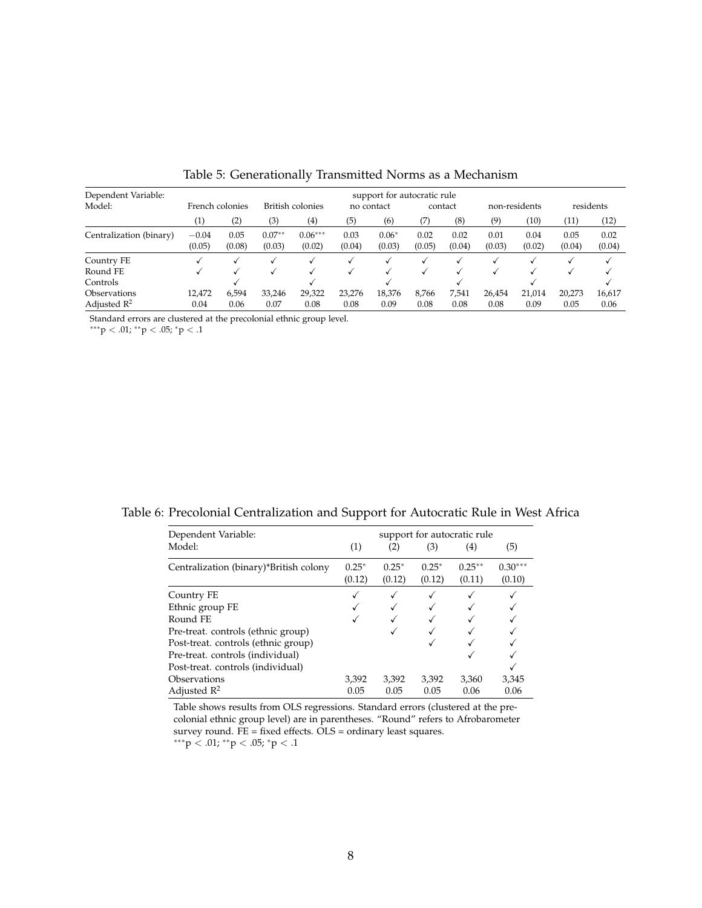| Dependent Variable:     | support for autocratic rule |                |                    |                     |                |                   |                |                |                |                |                |                |  |
|-------------------------|-----------------------------|----------------|--------------------|---------------------|----------------|-------------------|----------------|----------------|----------------|----------------|----------------|----------------|--|
| Model:                  | French colonies             |                | British colonies   |                     | no contact     |                   | contact        |                | non-residents  |                | residents      |                |  |
|                         | $\left( 1\right)$           | (2)            | (3)                | (4)                 | (5)            | (6)               | (7)            | (8)            | (9)            | (10)           | (11)           | (12)           |  |
| Centralization (binary) | $-0.04$<br>(0.05)           | 0.05<br>(0.08) | $0.07**$<br>(0.03) | $0.06***$<br>(0.02) | 0.03<br>(0.04) | $0.06*$<br>(0.03) | 0.02<br>(0.05) | 0.02<br>(0.04) | 0.01<br>(0.03) | 0.04<br>(0.02) | 0.05<br>(0.04) | 0.02<br>(0.04) |  |
| Country FE              |                             |                |                    |                     |                |                   |                |                |                |                |                |                |  |
| Round FE                |                             |                |                    |                     |                |                   |                |                |                |                |                |                |  |
| Controls                |                             |                |                    |                     |                |                   |                |                |                |                |                |                |  |
| <b>Observations</b>     | 12,472                      | 6,594          | 33,246             | 29,322              | 23,276         | 18,376            | 8,766          | 7,541          | 26,454         | 21,014         | 20,273         | 16,617         |  |
| Adjusted $\mathbb{R}^2$ | 0.04                        | 0.06           | 0.07               | 0.08                | 0.08           | 0.09              | 0.08           | 0.08           | 0.08           | 0.09           | 0.05           | 0.06           |  |

Table 5: Generationally Transmitted Norms as a Mechanism

Standard errors are clustered at the precolonial ethnic group level.

∗∗∗p < .01; ∗∗p < .05; <sup>∗</sup>p < .1

| Dependent Variable:                    | support for autocratic rule |              |         |                   |           |  |  |  |
|----------------------------------------|-----------------------------|--------------|---------|-------------------|-----------|--|--|--|
| Model:                                 | (1)                         | (2)          | (3)     | $\left( 4\right)$ | (5)       |  |  |  |
| Centralization (binary)*British colony | $0.25*$                     | $0.25*$      | $0.25*$ | $0.25***$         | $0.30***$ |  |  |  |
|                                        | (0.12)                      | (0.12)       | (0.12)  | (0.11)            | (0.10)    |  |  |  |
| Country FE                             |                             | $\checkmark$ |         |                   |           |  |  |  |
| Ethnic group FE                        |                             |              |         |                   |           |  |  |  |
| Round FE                               |                             |              |         |                   |           |  |  |  |
| Pre-treat. controls (ethnic group)     |                             |              |         |                   |           |  |  |  |
| Post-treat. controls (ethnic group)    |                             |              |         |                   |           |  |  |  |
| Pre-treat. controls (individual)       |                             |              |         |                   |           |  |  |  |
| Post-treat. controls (individual)      |                             |              |         |                   |           |  |  |  |
| Observations                           | 3,392                       | 3,392        | 3,392   | 3,360             | 3,345     |  |  |  |
| Adjusted $\mathbb{R}^2$                | 0.05                        | 0.05         | 0.05    | 0.06              | 0.06      |  |  |  |

Table shows results from OLS regressions. Standard errors (clustered at the precolonial ethnic group level) are in parentheses. "Round" refers to Afrobarometer survey round. FE = fixed effects. OLS = ordinary least squares. ∗∗∗p < .01; ∗∗p < .05; <sup>∗</sup>p < .1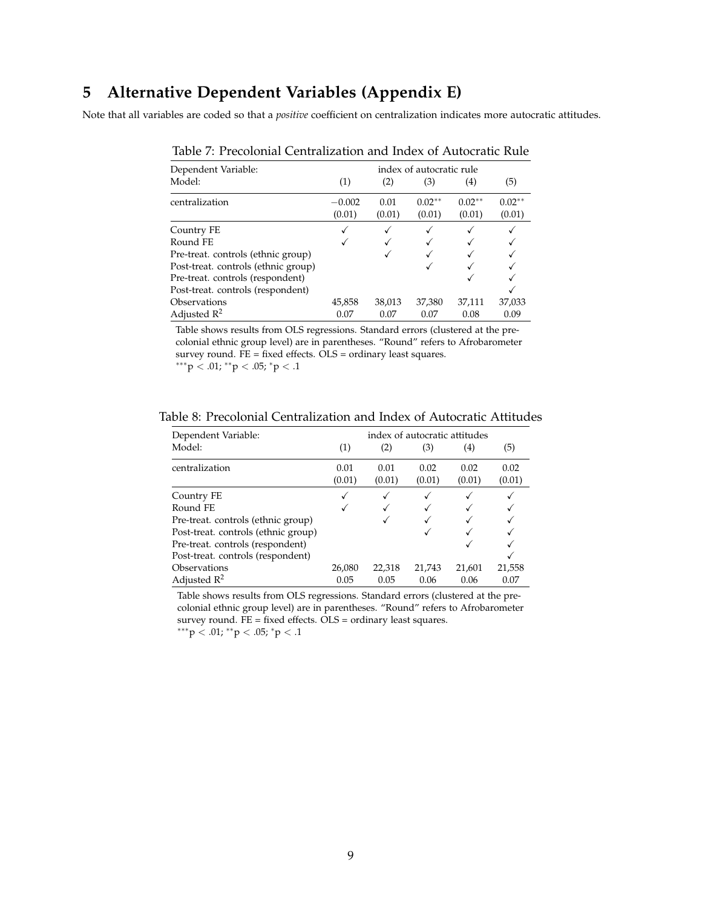#### <span id="page-8-0"></span>**5 Alternative Dependent Variables (Appendix E)**

Note that all variables are coded so that a *positive* coefficient on centralization indicates more autocratic attitudes.

| Dependent Variable:                 | index of autocratic rule |                |                    |                    |                    |  |  |  |  |
|-------------------------------------|--------------------------|----------------|--------------------|--------------------|--------------------|--|--|--|--|
| Model:                              | (1)                      | (2)            | (3)                | (4)                | (5)                |  |  |  |  |
| centralization                      | $-0.002$<br>(0.01)       | 0.01<br>(0.01) | $0.02**$<br>(0.01) | $0.02**$<br>(0.01) | $0.02**$<br>(0.01) |  |  |  |  |
| Country FE                          |                          |                |                    |                    |                    |  |  |  |  |
| Round FE                            |                          |                |                    |                    |                    |  |  |  |  |
| Pre-treat. controls (ethnic group)  |                          |                |                    |                    |                    |  |  |  |  |
| Post-treat. controls (ethnic group) |                          |                |                    |                    |                    |  |  |  |  |
| Pre-treat. controls (respondent)    |                          |                |                    |                    |                    |  |  |  |  |
| Post-treat. controls (respondent)   |                          |                |                    |                    |                    |  |  |  |  |
| Observations                        | 45,858                   | 38,013         | 37,380             | 37,111             | 37,033             |  |  |  |  |
| Adjusted $\mathbb{R}^2$             | 0.07                     | 0.07           | 0.07               | 0.08               | 0.09               |  |  |  |  |

Table 7: Precolonial Centralization and Index of Autocratic Rule

Table shows results from OLS regressions. Standard errors (clustered at the precolonial ethnic group level) are in parentheses. "Round" refers to Afrobarometer survey round. FE = fixed effects. OLS = ordinary least squares. ∗∗∗p < .01; ∗∗p < .05; <sup>∗</sup>p < .1

| Table 8: Precolonial Centralization and Index of Autocratic Attitudes |
|-----------------------------------------------------------------------|
|-----------------------------------------------------------------------|

| Dependent Variable:                 | index of autocratic attitudes |                |                |                   |                |  |  |  |  |
|-------------------------------------|-------------------------------|----------------|----------------|-------------------|----------------|--|--|--|--|
| Model:                              | (1)                           | (2)            | (3)            | $\left( 4\right)$ | (5)            |  |  |  |  |
| centralization                      | 0.01<br>(0.01)                | 0.01<br>(0.01) | 0.02<br>(0.01) | 0.02<br>(0.01)    | 0.02<br>(0.01) |  |  |  |  |
| Country FE                          |                               |                | ✓              |                   |                |  |  |  |  |
| Round FE                            |                               |                |                |                   |                |  |  |  |  |
| Pre-treat. controls (ethnic group)  |                               |                |                |                   |                |  |  |  |  |
| Post-treat. controls (ethnic group) |                               |                |                |                   |                |  |  |  |  |
| Pre-treat. controls (respondent)    |                               |                |                |                   |                |  |  |  |  |
| Post-treat. controls (respondent)   |                               |                |                |                   |                |  |  |  |  |
| Observations                        | 26,080                        | 22,318         | 21,743         | 21,601            | 21,558         |  |  |  |  |
| Adjusted $\mathbb{R}^2$             | 0.05                          | 0.05           | 0.06           | 0.06              | 0.07           |  |  |  |  |

Table shows results from OLS regressions. Standard errors (clustered at the precolonial ethnic group level) are in parentheses. "Round" refers to Afrobarometer survey round. FE = fixed effects. OLS = ordinary least squares.

 $***p<.01; **p<.05; *p<.1$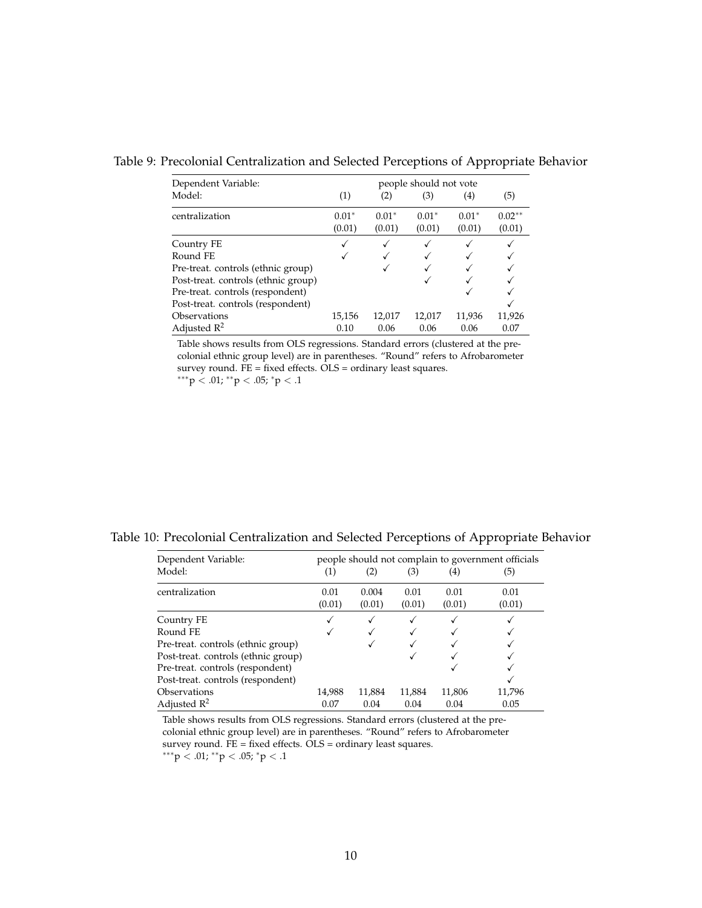| Dependent Variable:                 | people should not vote |         |         |         |          |  |  |
|-------------------------------------|------------------------|---------|---------|---------|----------|--|--|
| Model:                              | (1)                    | (2)     | (3)     | (4)     | (5)      |  |  |
| centralization                      | $0.01*$                | $0.01*$ | $0.01*$ | $0.01*$ | $0.02**$ |  |  |
|                                     | (0.01)                 | (0.01)  | (0.01)  | (0.01)  | (0.01)   |  |  |
| Country FE                          |                        |         |         |         |          |  |  |
| Round FE                            |                        |         |         |         |          |  |  |
| Pre-treat. controls (ethnic group)  |                        |         |         |         |          |  |  |
| Post-treat. controls (ethnic group) |                        |         |         |         |          |  |  |
| Pre-treat. controls (respondent)    |                        |         |         |         |          |  |  |
| Post-treat. controls (respondent)   |                        |         |         |         |          |  |  |
| Observations                        | 15,156                 | 12,017  | 12,017  | 11,936  | 11,926   |  |  |
| Adjusted $R^2$                      | 0.10                   | 0.06    | 0.06    | 0.06    | 0.07     |  |  |

Table 9: Precolonial Centralization and Selected Perceptions of Appropriate Behavior

Table shows results from OLS regressions. Standard errors (clustered at the precolonial ethnic group level) are in parentheses. "Round" refers to Afrobarometer survey round. FE = fixed effects. OLS = ordinary least squares.

 $***p$  < .01;  $*^{*}p$  < .05;  $*p$  < .1

Table 10: Precolonial Centralization and Selected Perceptions of Appropriate Behavior

| Dependent Variable:                 | people should not complain to government officials |                 |                |                |                |  |  |  |  |  |
|-------------------------------------|----------------------------------------------------|-----------------|----------------|----------------|----------------|--|--|--|--|--|
| Model:                              | (1)                                                | (2)             | (3)            | (4)            | (5)            |  |  |  |  |  |
| centralization                      | 0.01<br>(0.01)                                     | 0.004<br>(0.01) | 0.01<br>(0.01) | 0.01<br>(0.01) | 0.01<br>(0.01) |  |  |  |  |  |
| Country FE                          |                                                    |                 |                |                |                |  |  |  |  |  |
| Round FE                            |                                                    |                 |                |                |                |  |  |  |  |  |
| Pre-treat. controls (ethnic group)  |                                                    |                 |                |                |                |  |  |  |  |  |
| Post-treat. controls (ethnic group) |                                                    |                 |                |                |                |  |  |  |  |  |
| Pre-treat. controls (respondent)    |                                                    |                 |                |                |                |  |  |  |  |  |
| Post-treat. controls (respondent)   |                                                    |                 |                |                |                |  |  |  |  |  |
| Observations                        | 14,988                                             | 11,884          | 11,884         | 11,806         | 11,796         |  |  |  |  |  |
| Adjusted $\mathbb{R}^2$             | 0.07                                               | 0.04            | 0.04           | 0.04           | 0.05           |  |  |  |  |  |

Table shows results from OLS regressions. Standard errors (clustered at the precolonial ethnic group level) are in parentheses. "Round" refers to Afrobarometer survey round. FE = fixed effects. OLS = ordinary least squares.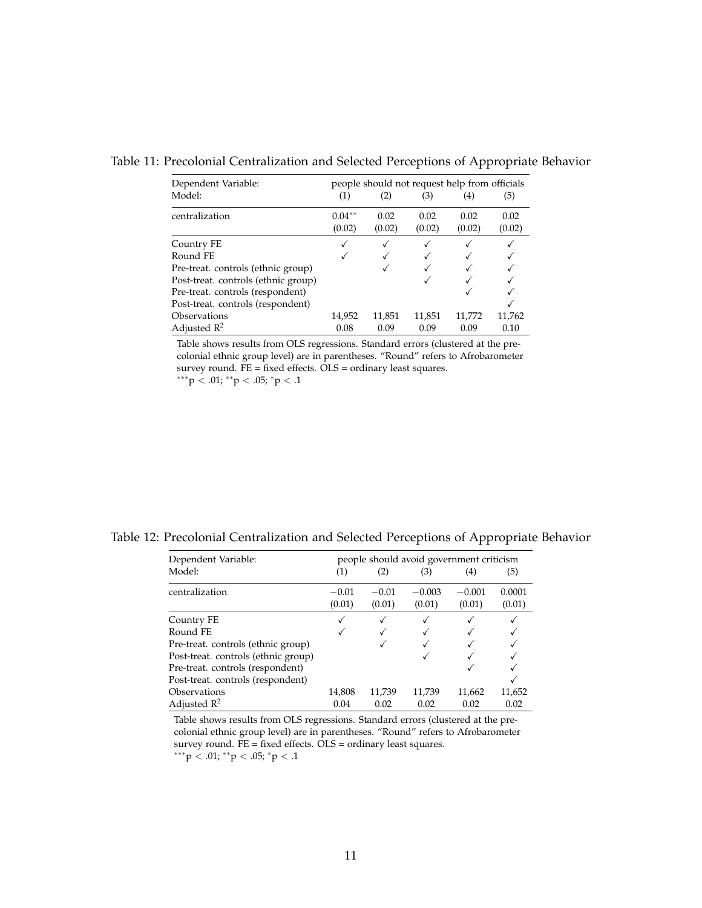| Dependent Variable:    |                    | people should not request help from officials |                |                |                |  |  |  |
|------------------------|--------------------|-----------------------------------------------|----------------|----------------|----------------|--|--|--|
| Model:                 | (1)                |                                               | (3)            | (4)            | (5)            |  |  |  |
| centralization         | $0.04**$<br>(0.02) | 0.02<br>(0.02)                                | 0.02<br>(0.02) | 0.02<br>(0.02) | 0.02<br>(0.02) |  |  |  |
| Country FE<br>Round FE | $\cdot$            |                                               |                |                |                |  |  |  |

Pre-treat. controls (ethnic group)  $\checkmark$   $\checkmark$ 

Table 11: Precolonial Centralization and Selected Perceptions of Appropriate Behavior

Table shows results from OLS regressions. Standard errors (clustered at the precolonial ethnic group level) are in parentheses. "Round" refers to Afrobarometer survey round. FE = fixed effects. OLS = ordinary least squares.

Post-treat. controls (respondent)<br>  $14,952$  11,851 11,851 11,772 11,762 Observations 14,952 11,851 11,851 11,772 11,762<br>Adjusted R<sup>2</sup> 0.08 0.09 0.09 0.09 0.10

∗∗∗p < .01; ∗∗p < .05; <sup>∗</sup>p < .1

Adjusted  $R^2$ 

Post-treat. controls (ethnic group) Pre-treat. controls (respondent)

| Table 12: Precolonial Centralization and Selected Perceptions of Appropriate Behavior |  |
|---------------------------------------------------------------------------------------|--|
|---------------------------------------------------------------------------------------|--|

| Dependent Variable:                 | people should avoid government criticism |         |          |          |        |  |  |
|-------------------------------------|------------------------------------------|---------|----------|----------|--------|--|--|
| Model:                              | (1)                                      | (2)     | (3)      | (4)      | (5)    |  |  |
| centralization                      | $-0.01$                                  | $-0.01$ | $-0.003$ | $-0.001$ | 0.0001 |  |  |
|                                     | (0.01)                                   | (0.01)  | (0.01)   | (0.01)   | (0.01) |  |  |
| Country FE                          |                                          |         |          |          |        |  |  |
| Round FE                            |                                          |         |          |          |        |  |  |
| Pre-treat. controls (ethnic group)  |                                          |         |          |          |        |  |  |
| Post-treat. controls (ethnic group) |                                          |         |          |          |        |  |  |
| Pre-treat. controls (respondent)    |                                          |         |          |          |        |  |  |
| Post-treat. controls (respondent)   |                                          |         |          |          |        |  |  |
| Observations                        | 14,808                                   | 11,739  | 11,739   | 11,662   | 11,652 |  |  |
| Adjusted $\mathbb{R}^2$             | 0.04                                     | 0.02    | 0.02     | 0.02     | 0.02   |  |  |

Table shows results from OLS regressions. Standard errors (clustered at the precolonial ethnic group level) are in parentheses. "Round" refers to Afrobarometer survey round. FE = fixed effects. OLS = ordinary least squares.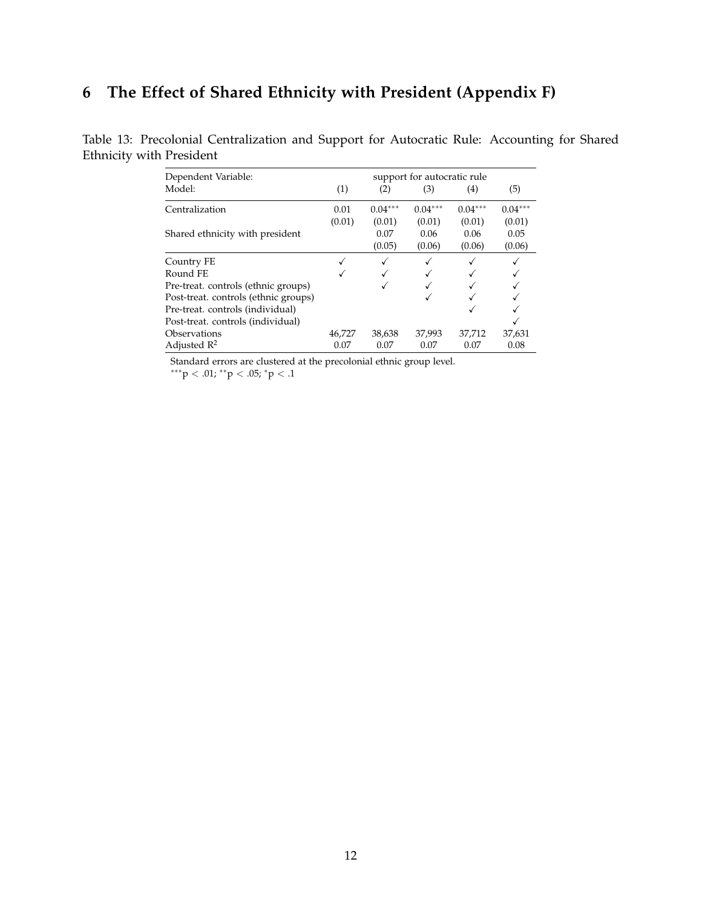## <span id="page-11-0"></span>**6 The Effect of Shared Ethnicity with President (Appendix F)**

| Dependent Variable:<br>support for autocratic rule |        |           |           |           |           |  |
|----------------------------------------------------|--------|-----------|-----------|-----------|-----------|--|
| Model:                                             | (1)    | (2)       | (3)       | (4)       | (5)       |  |
| Centralization                                     | 0.01   | $0.04***$ | $0.04***$ | $0.04***$ | $0.04***$ |  |
|                                                    | (0.01) | (0.01)    | (0.01)    | (0.01)    | (0.01)    |  |
| Shared ethnicity with president                    |        | 0.07      | 0.06      | 0.06      | 0.05      |  |
|                                                    |        | (0.05)    | (0.06)    | (0.06)    | (0.06)    |  |
| Country FE                                         |        | ✓         |           |           |           |  |
| Round FE                                           |        |           |           |           |           |  |
| Pre-treat. controls (ethnic groups)                |        |           |           |           |           |  |
| Post-treat. controls (ethnic groups)               |        |           |           |           |           |  |
| Pre-treat. controls (individual)                   |        |           |           |           |           |  |
| Post-treat. controls (individual)                  |        |           |           |           |           |  |
| Observations                                       | 46,727 | 38,638    | 37,993    | 37,712    | 37,631    |  |
| Adjusted $\mathbb{R}^2$                            | 0.07   | 0.07      | 0.07      | 0.07      | 0.08      |  |

Table 13: Precolonial Centralization and Support for Autocratic Rule: Accounting for Shared Ethnicity with President

Standard errors are clustered at the precolonial ethnic group level.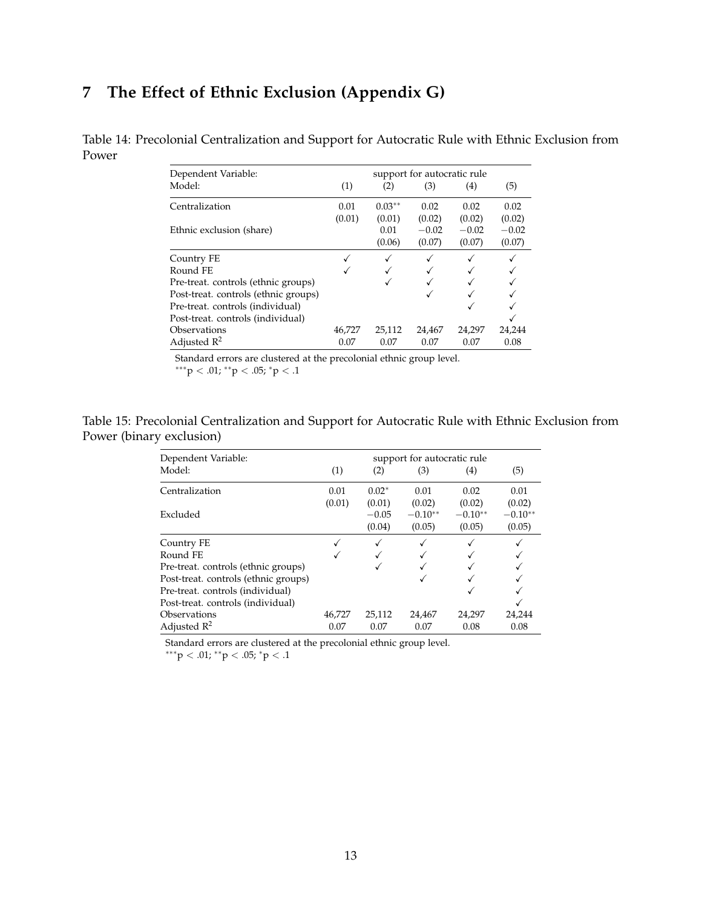## <span id="page-12-0"></span>**7 The Effect of Ethnic Exclusion (Appendix G)**

Table 14: Precolonial Centralization and Support for Autocratic Rule with Ethnic Exclusion from Power

| Dependent Variable:                  | support for autocratic rule |              |         |         |         |  |
|--------------------------------------|-----------------------------|--------------|---------|---------|---------|--|
| Model:                               | (1)                         | (2)          | (3)     | (4)     | (5)     |  |
| Centralization                       | 0.01                        | $0.03**$     | 0.02    | 0.02    | 0.02    |  |
|                                      | (0.01)                      | (0.01)       | (0.02)  | (0.02)  | (0.02)  |  |
| Ethnic exclusion (share)             |                             | 0.01         | $-0.02$ | $-0.02$ | $-0.02$ |  |
|                                      |                             | (0.06)       | (0.07)  | (0.07)  | (0.07)  |  |
| Country FE                           |                             | $\checkmark$ |         |         |         |  |
| Round FE                             |                             |              |         |         |         |  |
| Pre-treat. controls (ethnic groups)  |                             |              |         |         |         |  |
| Post-treat. controls (ethnic groups) |                             |              |         |         |         |  |
| Pre-treat. controls (individual)     |                             |              |         |         |         |  |
| Post-treat. controls (individual)    |                             |              |         |         |         |  |
| Observations                         | 46,727                      | 25,112       | 24,467  | 24,297  | 24,244  |  |
| Adjusted $\mathbb{R}^2$              | 0.07                        | 0.07         | 0.07    | 0.07    | 0.08    |  |

Standard errors are clustered at the precolonial ethnic group level.

 $***p < .01; **p < .05; *p < .1$ 

Table 15: Precolonial Centralization and Support for Autocratic Rule with Ethnic Exclusion from Power (binary exclusion)

| Dependent Variable:                  | support for autocratic rule |         |           |           |           |  |
|--------------------------------------|-----------------------------|---------|-----------|-----------|-----------|--|
| Model:                               | (1)                         | (2)     | (3)       | (4)       | (5)       |  |
| Centralization                       | 0.01                        | $0.02*$ | 0.01      | 0.02      | 0.01      |  |
|                                      | (0.01)                      | (0.01)  | (0.02)    | (0.02)    | (0.02)    |  |
| Excluded                             |                             | $-0.05$ | $-0.10**$ | $-0.10**$ | $-0.10**$ |  |
|                                      |                             | (0.04)  | (0.05)    | (0.05)    | (0.05)    |  |
| Country FE                           |                             | √       |           |           |           |  |
| Round FE                             |                             |         |           |           |           |  |
| Pre-treat. controls (ethnic groups)  |                             |         |           |           |           |  |
| Post-treat. controls (ethnic groups) |                             |         |           |           |           |  |
| Pre-treat. controls (individual)     |                             |         |           |           |           |  |
| Post-treat. controls (individual)    |                             |         |           |           |           |  |
| Observations                         | 46,727                      | 25,112  | 24,467    | 24,297    | 24,244    |  |
| Adjusted $\mathbb{R}^2$              | 0.07                        | 0.07    | 0.07      | 0.08      | 0.08      |  |
|                                      |                             |         |           |           |           |  |

Standard errors are clustered at the precolonial ethnic group level.

 $***p < .01; **p < .05; *p < .1$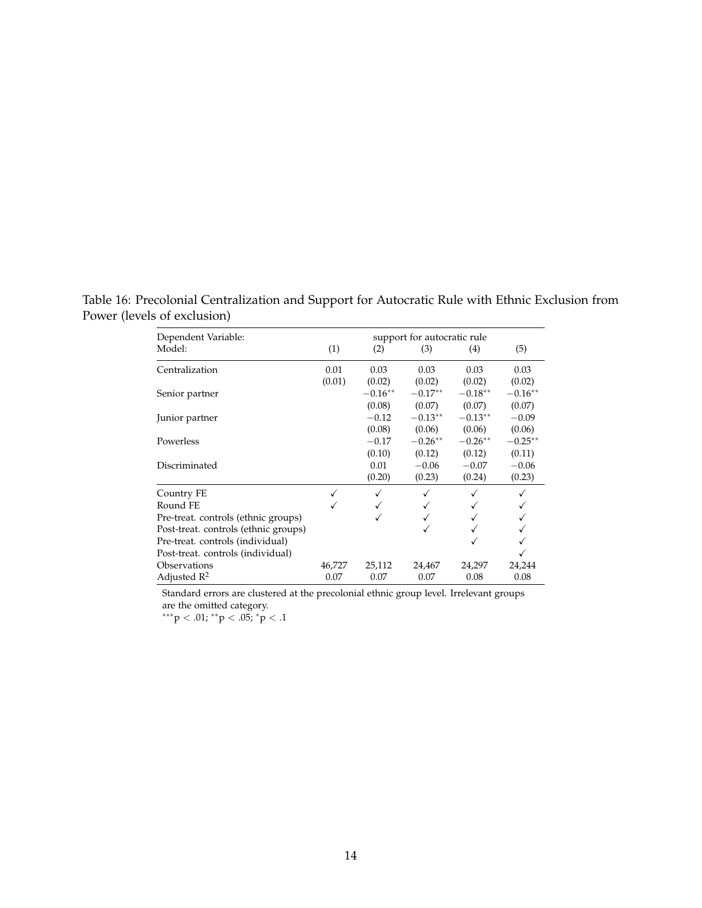Table 16: Precolonial Centralization and Support for Autocratic Rule with Ethnic Exclusion from Power (levels of exclusion)

| Dependent Variable:                  | support for autocratic rule |           |           |           |           |  |  |  |
|--------------------------------------|-----------------------------|-----------|-----------|-----------|-----------|--|--|--|
| Model:                               | (1)                         | (2)       | (3)       | (4)       | (5)       |  |  |  |
| Centralization                       | 0.01                        | 0.03      | 0.03      | 0.03      | 0.03      |  |  |  |
|                                      | (0.01)                      | (0.02)    | (0.02)    | (0.02)    | (0.02)    |  |  |  |
| Senior partner                       |                             | $-0.16**$ | $-0.17**$ | $-0.18**$ | $-0.16**$ |  |  |  |
|                                      |                             | (0.08)    | (0.07)    | (0.07)    | (0.07)    |  |  |  |
| Junior partner                       |                             | $-0.12$   | $-0.13**$ | $-0.13**$ | $-0.09$   |  |  |  |
|                                      |                             | (0.08)    | (0.06)    | (0.06)    | (0.06)    |  |  |  |
| Powerless                            |                             | $-0.17$   | $-0.26**$ | $-0.26**$ | $-0.25**$ |  |  |  |
|                                      |                             | (0.10)    | (0.12)    | (0.12)    | (0.11)    |  |  |  |
| Discriminated                        |                             | 0.01      | $-0.06$   | $-0.07$   | $-0.06$   |  |  |  |
|                                      |                             | (0.20)    | (0.23)    | (0.24)    | (0.23)    |  |  |  |
| Country FE                           |                             | ✓         |           |           |           |  |  |  |
| Round FE                             |                             |           |           |           |           |  |  |  |
| Pre-treat. controls (ethnic groups)  |                             |           |           |           |           |  |  |  |
| Post-treat. controls (ethnic groups) |                             |           |           |           |           |  |  |  |
| Pre-treat. controls (individual)     |                             |           |           |           |           |  |  |  |
| Post-treat. controls (individual)    |                             |           |           |           |           |  |  |  |
| Observations                         | 46,727                      | 25,112    | 24,467    | 24,297    | 24,244    |  |  |  |
| Adjusted $\mathbb{R}^2$              | 0.07                        | 0.07      | 0.07      | 0.08      | 0.08      |  |  |  |

Standard errors are clustered at the precolonial ethnic group level. Irrelevant groups are the omitted category.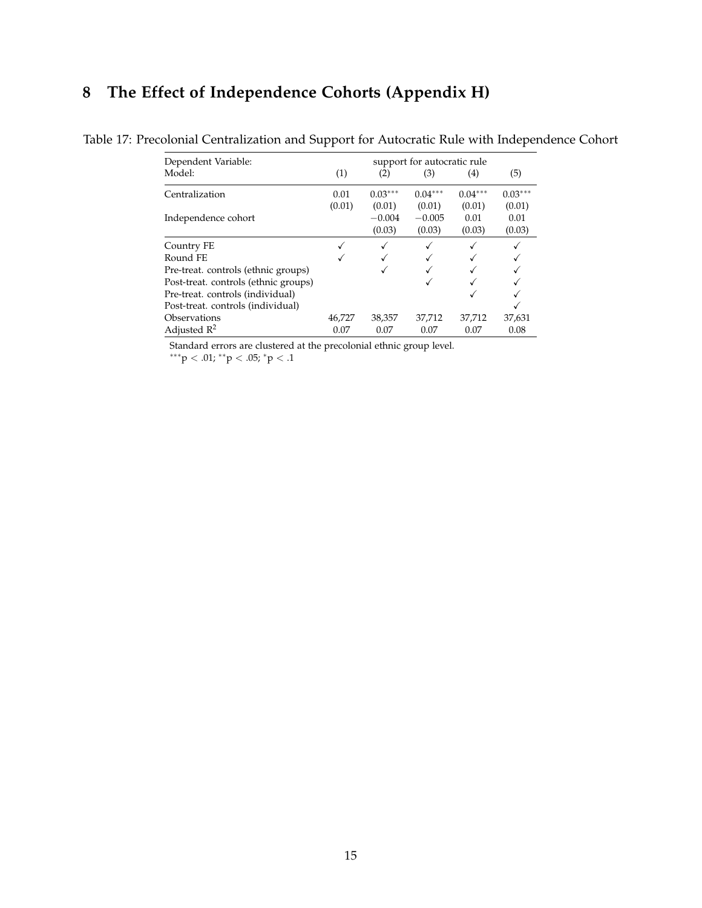## <span id="page-14-0"></span>**8 The Effect of Independence Cohorts (Appendix H)**

| Dependent Variable:                  | support for autocratic rule |           |           |           |           |  |
|--------------------------------------|-----------------------------|-----------|-----------|-----------|-----------|--|
| Model:                               | (1)                         | (2)       | (3)       | (4)       | (5)       |  |
| Centralization                       | 0.01                        | $0.03***$ | $0.04***$ | $0.04***$ | $0.03***$ |  |
|                                      | (0.01)                      | (0.01)    | (0.01)    | (0.01)    | (0.01)    |  |
| Independence cohort                  |                             | $-0.004$  | $-0.005$  | 0.01      | 0.01      |  |
|                                      |                             | (0.03)    | (0.03)    | (0.03)    | (0.03)    |  |
| Country FE                           |                             | ✓         | ✓         |           |           |  |
| Round FE                             |                             |           |           |           |           |  |
| Pre-treat. controls (ethnic groups)  |                             |           |           |           |           |  |
| Post-treat. controls (ethnic groups) |                             |           |           |           |           |  |
| Pre-treat. controls (individual)     |                             |           |           |           |           |  |
| Post-treat. controls (individual)    |                             |           |           |           |           |  |
| Observations                         | 46,727                      | 38,357    | 37,712    | 37,712    | 37,631    |  |
| Adjusted $R^2$                       | 0.07                        | 0.07      | 0.07      | 0.07      | 0.08      |  |

Table 17: Precolonial Centralization and Support for Autocratic Rule with Independence Cohort

Standard errors are clustered at the precolonial ethnic group level.

 $^{***}\mbox{p} < .01;$ <br> $^{**}\mbox{p} < .05;$ <br> $^{*}\mbox{p} < .1$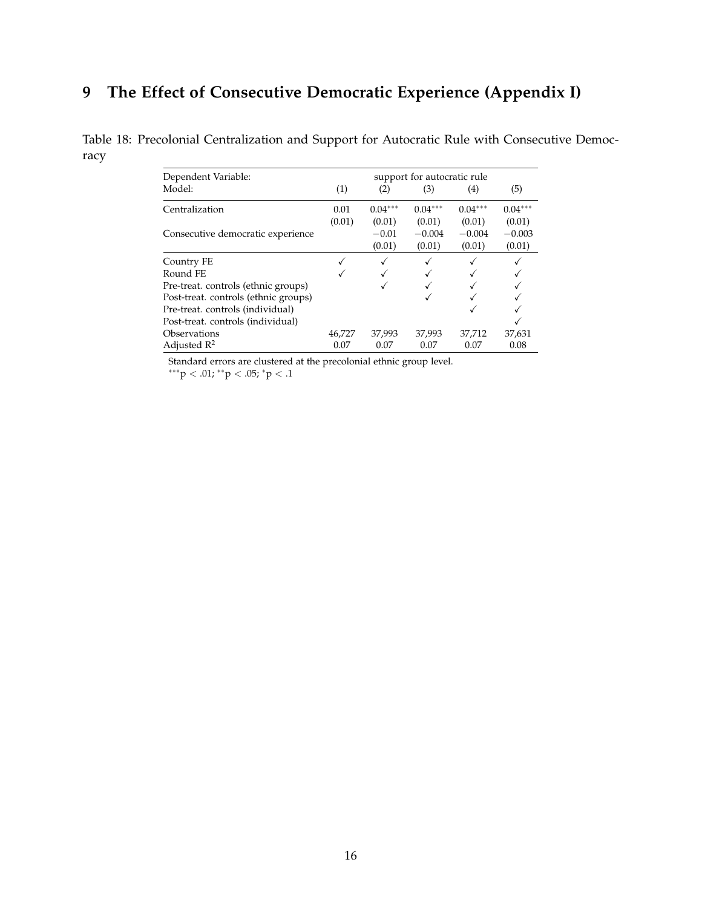### <span id="page-15-0"></span>**9 The Effect of Consecutive Democratic Experience (Appendix I)**

Table 18: Precolonial Centralization and Support for Autocratic Rule with Consecutive Democracy

| Dependent Variable:                  |        |           | support for autocratic rule |           |           |
|--------------------------------------|--------|-----------|-----------------------------|-----------|-----------|
| Model:                               | (1)    | (2)       | (3)                         | (4)       | (5)       |
| Centralization                       | 0.01   | $0.04***$ | $0.04***$                   | $0.04***$ | $0.04***$ |
|                                      | (0.01) | (0.01)    | (0.01)                      | (0.01)    | (0.01)    |
| Consecutive democratic experience    |        | $-0.01$   | $-0.004$                    | $-0.004$  | $-0.003$  |
|                                      |        | (0.01)    | (0.01)                      | (0.01)    | (0.01)    |
| Country FE                           |        | ✓         |                             |           |           |
| Round FE                             |        |           |                             |           |           |
| Pre-treat. controls (ethnic groups)  |        |           |                             |           |           |
| Post-treat. controls (ethnic groups) |        |           |                             |           |           |
| Pre-treat. controls (individual)     |        |           |                             |           |           |
| Post-treat. controls (individual)    |        |           |                             |           |           |
| Observations                         | 46,727 | 37,993    | 37,993                      | 37,712    | 37,631    |
| Adjusted $R^2$                       | 0.07   | 0.07      | 0.07                        | 0.07      | 0.08      |

Standard errors are clustered at the precolonial ethnic group level.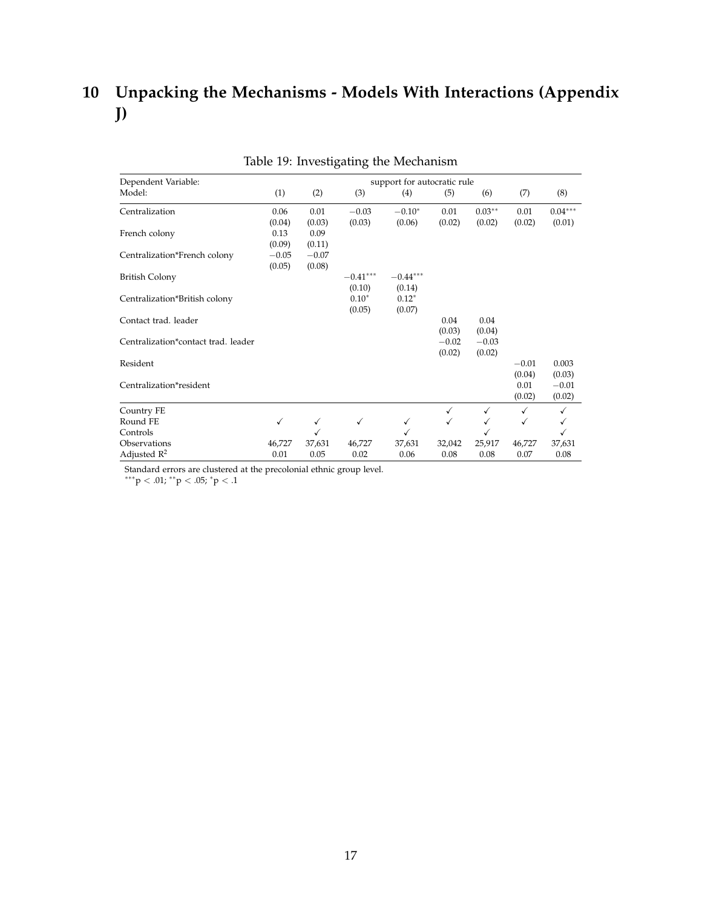## <span id="page-16-0"></span>**10 Unpacking the Mechanisms - Models With Interactions (Appendix J)**

| Dependent Variable:                 |         |              |              | support for autocratic rule |              |          |         |           |
|-------------------------------------|---------|--------------|--------------|-----------------------------|--------------|----------|---------|-----------|
| Model:                              | (1)     | (2)          | (3)          | (4)                         | (5)          | (6)      | (7)     | (8)       |
| Centralization                      | 0.06    | 0.01         | $-0.03$      | $-0.10*$                    | 0.01         | $0.03**$ | 0.01    | $0.04***$ |
|                                     | (0.04)  | (0.03)       | (0.03)       | (0.06)                      | (0.02)       | (0.02)   | (0.02)  | (0.01)    |
| French colony                       | 0.13    | 0.09         |              |                             |              |          |         |           |
|                                     | (0.09)  | (0.11)       |              |                             |              |          |         |           |
| Centralization*French colony        | $-0.05$ | $-0.07$      |              |                             |              |          |         |           |
|                                     | (0.05)  | (0.08)       |              |                             |              |          |         |           |
| <b>British Colony</b>               |         |              | $-0.41***$   | $-0.44***$                  |              |          |         |           |
|                                     |         |              | (0.10)       | (0.14)                      |              |          |         |           |
| Centralization*British colony       |         |              | $0.10*$      | $0.12*$                     |              |          |         |           |
|                                     |         |              | (0.05)       | (0.07)                      |              |          |         |           |
| Contact trad. leader                |         |              |              |                             | 0.04         | 0.04     |         |           |
|                                     |         |              |              |                             | (0.03)       | (0.04)   |         |           |
| Centralization*contact trad. leader |         |              |              |                             | $-0.02$      | $-0.03$  |         |           |
|                                     |         |              |              |                             | (0.02)       | (0.02)   |         |           |
| Resident                            |         |              |              |                             |              |          | $-0.01$ | 0.003     |
|                                     |         |              |              |                             |              |          | (0.04)  | (0.03)    |
| Centralization*resident             |         |              |              |                             |              |          | 0.01    | $-0.01$   |
|                                     |         |              |              |                             |              |          | (0.02)  | (0.02)    |
| Country FE                          |         |              |              |                             | $\checkmark$ | ✓        | ✓       | ✓         |
| Round FE                            | √       | $\checkmark$ | $\checkmark$ | ✓                           | $\checkmark$ | ✓        | ✓       | √         |
| Controls                            |         |              |              | ✓                           |              |          |         | √         |
| Observations                        | 46,727  | 37,631       | 46,727       | 37,631                      | 32,042       | 25,917   | 46,727  | 37,631    |
| Adjusted $\mathbb{R}^2$             | 0.01    | 0.05         | 0.02         | 0.06                        | 0.08         | 0.08     | 0.07    | 0.08      |

|  | Table 19: Investigating the Mechanism |  |  |
|--|---------------------------------------|--|--|
|--|---------------------------------------|--|--|

Standard errors are clustered at the precolonial ethnic group level.